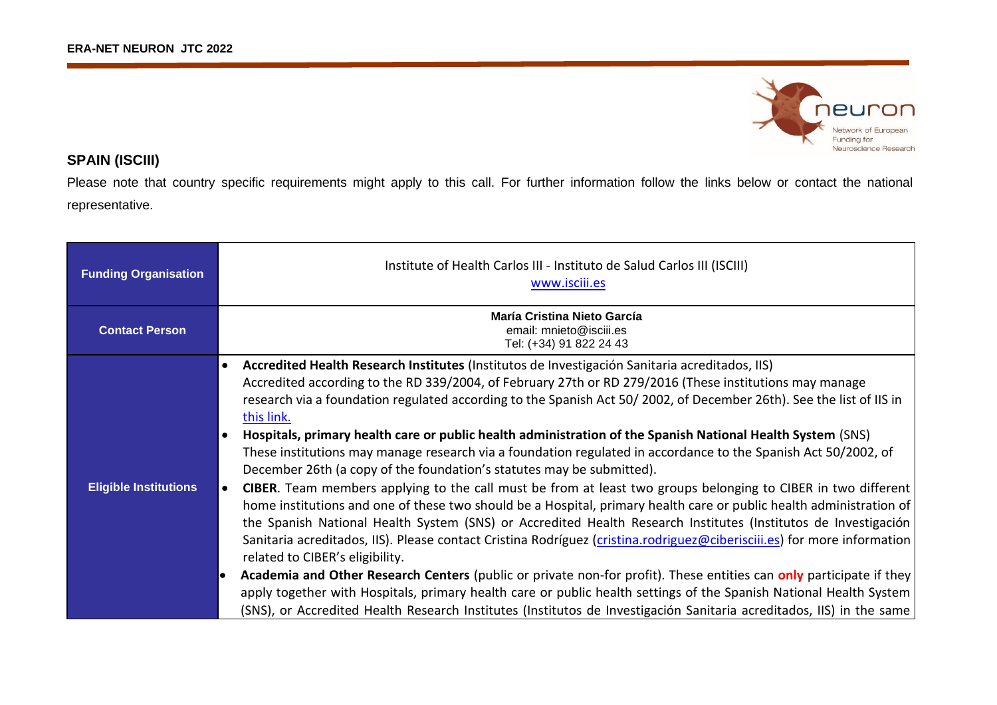

## **SPAIN (ISCIII)**

Please note that country specific requirements might apply to this call. For further information follow the links below or contact the national representative.

| <b>Funding Organisation</b>  | Institute of Health Carlos III - Instituto de Salud Carlos III (ISCIII)<br>www.isciii.es                                                                                                                                                                                                                                                                                                                                                                                                                                                                                                                                                                                                                                                                                                                                                                                                                                                                                                                                                                                                                                                                                                                                                                                                                                                                                                                                                                                                                                                                                              |
|------------------------------|---------------------------------------------------------------------------------------------------------------------------------------------------------------------------------------------------------------------------------------------------------------------------------------------------------------------------------------------------------------------------------------------------------------------------------------------------------------------------------------------------------------------------------------------------------------------------------------------------------------------------------------------------------------------------------------------------------------------------------------------------------------------------------------------------------------------------------------------------------------------------------------------------------------------------------------------------------------------------------------------------------------------------------------------------------------------------------------------------------------------------------------------------------------------------------------------------------------------------------------------------------------------------------------------------------------------------------------------------------------------------------------------------------------------------------------------------------------------------------------------------------------------------------------------------------------------------------------|
| <b>Contact Person</b>        | María Cristina Nieto García<br>email: mnieto@isciii.es<br>Tel: (+34) 91 822 24 43                                                                                                                                                                                                                                                                                                                                                                                                                                                                                                                                                                                                                                                                                                                                                                                                                                                                                                                                                                                                                                                                                                                                                                                                                                                                                                                                                                                                                                                                                                     |
| <b>Eligible Institutions</b> | Accredited Health Research Institutes (Institutos de Investigación Sanitaria acreditados, IIS)<br>$\bullet$<br>Accredited according to the RD 339/2004, of February 27th or RD 279/2016 (These institutions may manage<br>research via a foundation regulated according to the Spanish Act 50/2002, of December 26th). See the list of IIS in<br>this link.<br>Hospitals, primary health care or public health administration of the Spanish National Health System (SNS)<br>These institutions may manage research via a foundation regulated in accordance to the Spanish Act 50/2002, of<br>December 26th (a copy of the foundation's statutes may be submitted).<br><b>CIBER.</b> Team members applying to the call must be from at least two groups belonging to CIBER in two different<br>$\bullet$<br>home institutions and one of these two should be a Hospital, primary health care or public health administration of<br>the Spanish National Health System (SNS) or Accredited Health Research Institutes (Institutos de Investigación<br>Sanitaria acreditados, IIS). Please contact Cristina Rodríguez (cristina.rodriguez@ciberisciii.es) for more information<br>related to CIBER's eligibility.<br>Academia and Other Research Centers (public or private non-for profit). These entities can only participate if they<br>apply together with Hospitals, primary health care or public health settings of the Spanish National Health System<br>(SNS), or Accredited Health Research Institutes (Institutos de Investigación Sanitaria acreditados, IIS) in the same |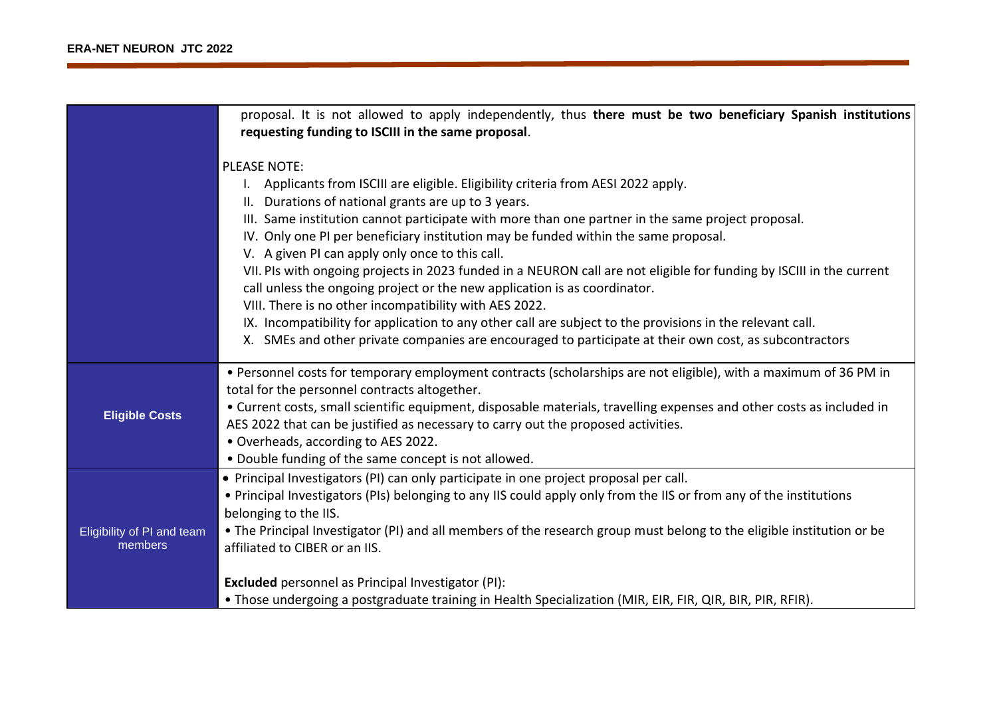|                                       | proposal. It is not allowed to apply independently, thus there must be two beneficiary Spanish institutions<br>requesting funding to ISCIII in the same proposal.                                                                                                                                                                                                                                                                                                                                                                                                                                                                                                                                                                                                                                                                                                                                  |
|---------------------------------------|----------------------------------------------------------------------------------------------------------------------------------------------------------------------------------------------------------------------------------------------------------------------------------------------------------------------------------------------------------------------------------------------------------------------------------------------------------------------------------------------------------------------------------------------------------------------------------------------------------------------------------------------------------------------------------------------------------------------------------------------------------------------------------------------------------------------------------------------------------------------------------------------------|
|                                       | <b>PLEASE NOTE:</b><br>Applicants from ISCIII are eligible. Eligibility criteria from AESI 2022 apply.<br>II. Durations of national grants are up to 3 years.<br>III. Same institution cannot participate with more than one partner in the same project proposal.<br>IV. Only one PI per beneficiary institution may be funded within the same proposal.<br>V. A given PI can apply only once to this call.<br>VII. PIs with ongoing projects in 2023 funded in a NEURON call are not eligible for funding by ISCIII in the current<br>call unless the ongoing project or the new application is as coordinator.<br>VIII. There is no other incompatibility with AES 2022.<br>IX. Incompatibility for application to any other call are subject to the provisions in the relevant call.<br>X. SMEs and other private companies are encouraged to participate at their own cost, as subcontractors |
| <b>Eligible Costs</b>                 | • Personnel costs for temporary employment contracts (scholarships are not eligible), with a maximum of 36 PM in<br>total for the personnel contracts altogether.<br>• Current costs, small scientific equipment, disposable materials, travelling expenses and other costs as included in<br>AES 2022 that can be justified as necessary to carry out the proposed activities.<br>· Overheads, according to AES 2022.<br>. Double funding of the same concept is not allowed.                                                                                                                                                                                                                                                                                                                                                                                                                     |
| Eligibility of PI and team<br>members | • Principal Investigators (PI) can only participate in one project proposal per call.<br>• Principal Investigators (PIs) belonging to any IIS could apply only from the IIS or from any of the institutions<br>belonging to the IIS.<br>. The Principal Investigator (PI) and all members of the research group must belong to the eligible institution or be<br>affiliated to CIBER or an IIS.<br><b>Excluded</b> personnel as Principal Investigator (PI):<br>• Those undergoing a postgraduate training in Health Specialization (MIR, EIR, FIR, QIR, BIR, PIR, RFIR).                                                                                                                                                                                                                                                                                                                          |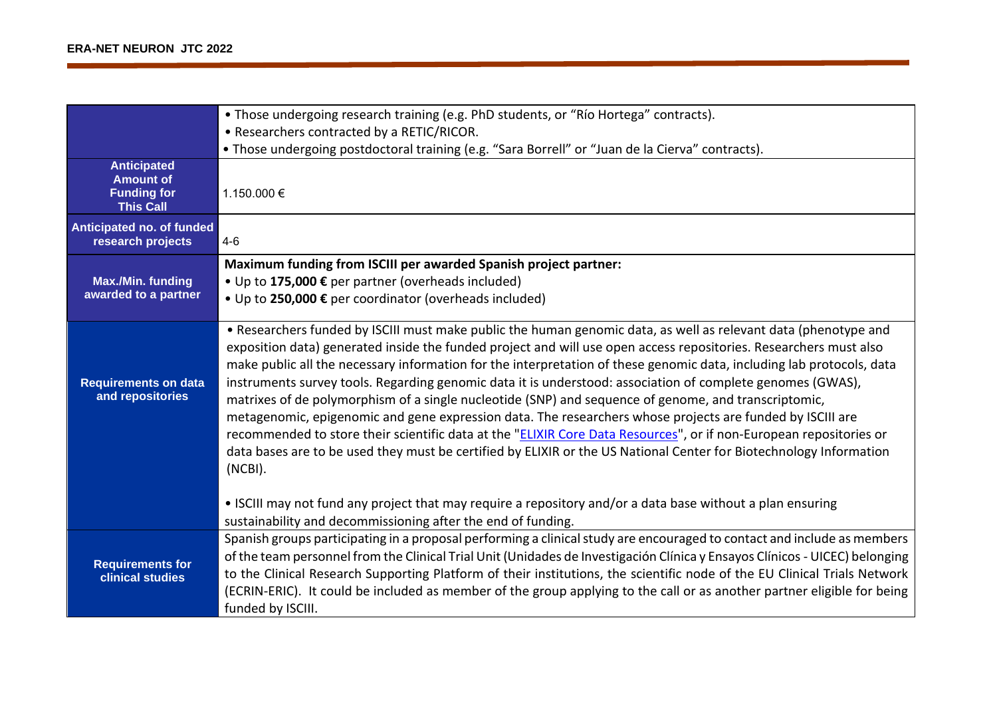|                                                                                  | • Those undergoing research training (e.g. PhD students, or "Río Hortega" contracts).                                                                                                                                                                                                                                                                                                                                                                                                                                                                                                                                                                                                                                                                                                                                                                                                                                                                   |
|----------------------------------------------------------------------------------|---------------------------------------------------------------------------------------------------------------------------------------------------------------------------------------------------------------------------------------------------------------------------------------------------------------------------------------------------------------------------------------------------------------------------------------------------------------------------------------------------------------------------------------------------------------------------------------------------------------------------------------------------------------------------------------------------------------------------------------------------------------------------------------------------------------------------------------------------------------------------------------------------------------------------------------------------------|
|                                                                                  | • Researchers contracted by a RETIC/RICOR.                                                                                                                                                                                                                                                                                                                                                                                                                                                                                                                                                                                                                                                                                                                                                                                                                                                                                                              |
|                                                                                  | . Those undergoing postdoctoral training (e.g. "Sara Borrell" or "Juan de la Cierva" contracts).                                                                                                                                                                                                                                                                                                                                                                                                                                                                                                                                                                                                                                                                                                                                                                                                                                                        |
| <b>Anticipated</b><br><b>Amount of</b><br><b>Funding for</b><br><b>This Call</b> | 1.150.000 €                                                                                                                                                                                                                                                                                                                                                                                                                                                                                                                                                                                                                                                                                                                                                                                                                                                                                                                                             |
| Anticipated no. of funded<br>research projects                                   | $4 - 6$                                                                                                                                                                                                                                                                                                                                                                                                                                                                                                                                                                                                                                                                                                                                                                                                                                                                                                                                                 |
|                                                                                  | Maximum funding from ISCIII per awarded Spanish project partner:                                                                                                                                                                                                                                                                                                                                                                                                                                                                                                                                                                                                                                                                                                                                                                                                                                                                                        |
| <b>Max./Min. funding</b>                                                         | • Up to 175,000 € per partner (overheads included)                                                                                                                                                                                                                                                                                                                                                                                                                                                                                                                                                                                                                                                                                                                                                                                                                                                                                                      |
| awarded to a partner                                                             | • Up to 250,000 € per coordinator (overheads included)                                                                                                                                                                                                                                                                                                                                                                                                                                                                                                                                                                                                                                                                                                                                                                                                                                                                                                  |
| <b>Requirements on data</b><br>and repositories                                  | • Researchers funded by ISCIII must make public the human genomic data, as well as relevant data (phenotype and<br>exposition data) generated inside the funded project and will use open access repositories. Researchers must also<br>make public all the necessary information for the interpretation of these genomic data, including lab protocols, data<br>instruments survey tools. Regarding genomic data it is understood: association of complete genomes (GWAS),<br>matrixes of de polymorphism of a single nucleotide (SNP) and sequence of genome, and transcriptomic,<br>metagenomic, epigenomic and gene expression data. The researchers whose projects are funded by ISCIII are<br>recommended to store their scientific data at the "ELIXIR Core Data Resources", or if non-European repositories or<br>data bases are to be used they must be certified by ELIXIR or the US National Center for Biotechnology Information<br>(NCBI). |
|                                                                                  | • ISCIII may not fund any project that may require a repository and/or a data base without a plan ensuring<br>sustainability and decommissioning after the end of funding.                                                                                                                                                                                                                                                                                                                                                                                                                                                                                                                                                                                                                                                                                                                                                                              |
| <b>Requirements for</b><br>clinical studies                                      | Spanish groups participating in a proposal performing a clinical study are encouraged to contact and include as members<br>of the team personnel from the Clinical Trial Unit (Unidades de Investigación Clínica y Ensayos Clínicos - UICEC) belonging<br>to the Clinical Research Supporting Platform of their institutions, the scientific node of the EU Clinical Trials Network<br>(ECRIN-ERIC). It could be included as member of the group applying to the call or as another partner eligible for being<br>funded by ISCIII.                                                                                                                                                                                                                                                                                                                                                                                                                     |